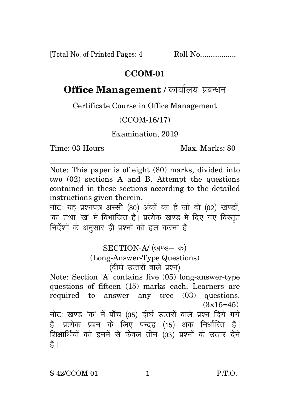[Total No. of Printed Pages: 4 Roll No.................

## **CCOM-01**

## **Office Management** / कार्यालय प्रबन्धन

Certificate Course in Office Management

## (CCOM-16/17)

Examination, 2019

Time: 03 Hours Max. Marks: 80

Note: This paper is of eight (80) marks, divided into two (02) sections A and B. Attempt the questions contained in these sections according to the detailed instructions given therein.

नोट: यह प्रश्नपत्र अस्सी (80) अंकों का है जो दो (02) खण्डों, 'क' तथा 'ख' में विभाजित है। प्रत्येक खण्ड में दिए गए विस्तत निर्देशों के अनुसार ही प्रश्नों को हल करना है।

> SECTION-A/ (खण्ड- क) (Long-Answer-Type Questions)  $($ दीर्घ उत्तरों वाले प्रश्न)

Note: Section 'A' contains five (05) long-answer-type questions of fifteen (15) marks each. Learners are required to answer any tree (03) questions.  $(3\times15=45)$ नोटः खण्ड 'क' में पाँच (05) दीर्घ उत्तरों वाले प्रश्न दिये गये हैं, प्रत्येक प्रश्न के लिए पन्द्रह (15) अंक निर्धारित हैं। <u>शिक्षार्थियों को इनमें से केवल तीन (03) प्रश्नों के उत्तर देने</u> हैं ।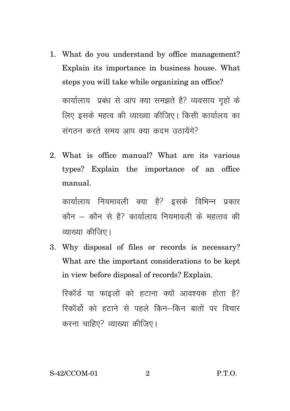- 1. What do you understand by office management? Explain its importance in business house. What steps you will take while organizing an office? कार्यालाय प्रबंध से आप क्या समझते है? व्यवसाय गहों के लिए इसके महत्व की व्याख्या कीजिए। किसी कार्यालय का संगठन करते समय आप क्या कदम उठायेंगे?
- 2. What is office manual? What are its various types? Explain the importance of an office manual.

कार्यालाय नियमावली क्या है? इसके विभिन्न प्रकार कौन – कौन से हैं? कार्यालाय नियमावली के महत्तव की व्याख्या कीजिए।

3. Why disposal of files or records is necessary? What are the important considerations to be kept in view before disposal of records? Explain.

रिकॉर्ड या फाइलों को हटाना क्यों आवश्यक होता है? रिकॉर्डो को हटाने से पहले किन–किन बातों पर विचार करना चाहिए? व्याख्या कीजिए।

## S-42/CCOM-01 2 P.T.O.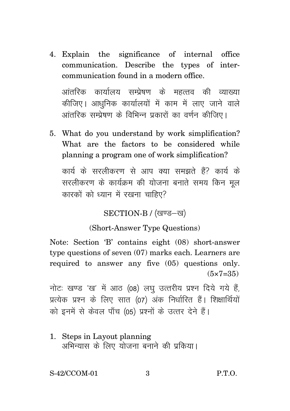4. Explain the significance of internal office communication. Describe the types of intercommunication found in a modern office.

<u>आंतरिक कार्यालय सम्पेषण के महत्तव की व्याख्या</u> कीजिए। आधुनिक कार्यालयों में काम में लाए जाने वाले आंतरिक सम्पेषण के विभिन्न पकारों का वर्णन कीजिए।

5. What do you understand by work simplification? What are the factors to be considered while planning a program one of work simplification?

कार्य के सरलीकरण से आप क्या समझते हैं? कार्य के सरलीकरण के कार्यक्रम की योजना बनाते समय किन मल कारकों को ध्यान में रखना चाहिए?

SECTION-B / (खण्ड-ख)

(Short-Answer Type Questions)

Note: Section 'B' contains eight (08) short-answer type questions of seven (07) marks each. Learners are required to answer any five (05) questions only.  $(5 \times 7 = 35)$ 

नोटः खण्ड 'ख' में आठ (08) लघु उत्तरीय प्रश्न दिये गये हैं. प्रत्येक प्रश्न के लिए सात (07) अंक निर्धारित हैं। शिक्षार्थियों को इनमें से केवल पाँच (05) प्रश्नों के उत्तर देने हैं।

1. Steps in Layout planning अभिन्यास के लिए योजना बनाने की प्रकिया।

S-42/CCOM-01 3 P.T.O.